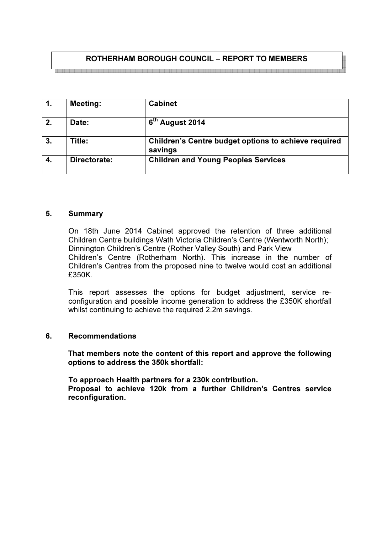# ROTHERHAM BOROUGH COUNCIL – REPORT TO MEMBERS

| $\overline{1}$ . | <b>Meeting:</b> | <b>Cabinet</b>                                                  |
|------------------|-----------------|-----------------------------------------------------------------|
| 2.               | Date:           | 6 <sup>th</sup> August 2014                                     |
| 3.               | Title:          | Children's Centre budget options to achieve required<br>savings |
| 4.               | Directorate:    | <b>Children and Young Peoples Services</b>                      |

#### 5. Summary

On 18th June 2014 Cabinet approved the retention of three additional Children Centre buildings Wath Victoria Children's Centre (Wentworth North); Dinnington Children's Centre (Rother Valley South) and Park View Children's Centre (Rotherham North). This increase in the number of Children's Centres from the proposed nine to twelve would cost an additional £350K.

This report assesses the options for budget adjustment, service reconfiguration and possible income generation to address the £350K shortfall whilst continuing to achieve the required 2.2m savings.

#### 6. Recommendations

 That members note the content of this report and approve the following options to address the 350k shortfall:

 To approach Health partners for a 230k contribution. Proposal to achieve 120k from a further Children's Centres service reconfiguration.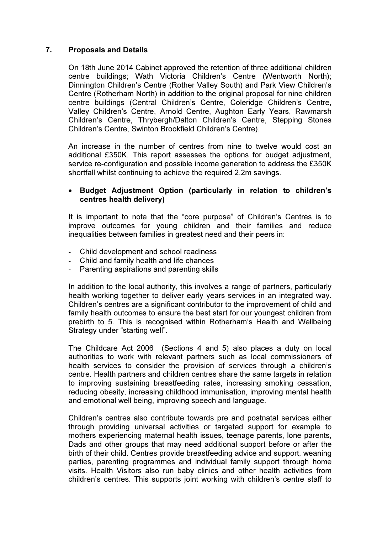# 7. Proposals and Details

On 18th June 2014 Cabinet approved the retention of three additional children centre buildings; Wath Victoria Children's Centre (Wentworth North); Dinnington Children's Centre (Rother Valley South) and Park View Children's Centre (Rotherham North) in addition to the original proposal for nine children centre buildings (Central Children's Centre, Coleridge Children's Centre, Valley Children's Centre, Arnold Centre, Aughton Early Years, Rawmarsh Children's Centre, Thrybergh/Dalton Children's Centre, Stepping Stones Children's Centre, Swinton Brookfield Children's Centre).

An increase in the number of centres from nine to twelve would cost an additional £350K. This report assesses the options for budget adjustment, service re-configuration and possible income generation to address the £350K shortfall whilst continuing to achieve the required 2.2m savings.

# • Budget Adjustment Option (particularly in relation to children's centres health delivery)

It is important to note that the "core purpose" of Children's Centres is to improve outcomes for young children and their families and reduce inequalities between families in greatest need and their peers in:

- Child development and school readiness
- Child and family health and life chances
- Parenting aspirations and parenting skills

In addition to the local authority, this involves a range of partners, particularly health working together to deliver early years services in an integrated way. Children's centres are a significant contributor to the improvement of child and family health outcomes to ensure the best start for our youngest children from prebirth to 5. This is recognised within Rotherham's Health and Wellbeing Strategy under "starting well".

The Childcare Act 2006 (Sections 4 and 5) also places a duty on local authorities to work with relevant partners such as local commissioners of health services to consider the provision of services through a children's centre. Health partners and children centres share the same targets in relation to improving sustaining breastfeeding rates, increasing smoking cessation, reducing obesity, increasing childhood immunisation, improving mental health and emotional well being, improving speech and language.

Children's centres also contribute towards pre and postnatal services either through providing universal activities or targeted support for example to mothers experiencing maternal health issues, teenage parents, lone parents, Dads and other groups that may need additional support before or after the birth of their child. Centres provide breastfeeding advice and support, weaning parties, parenting programmes and individual family support through home visits. Health Visitors also run baby clinics and other health activities from children's centres. This supports joint working with children's centre staff to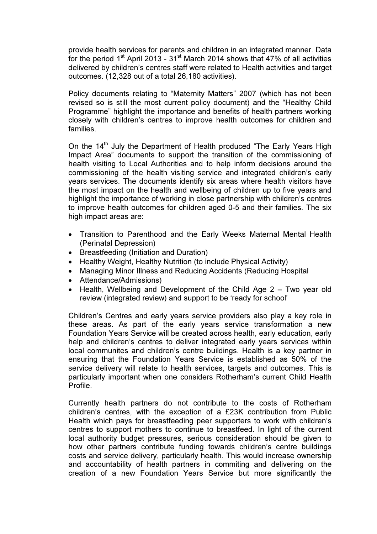provide health services for parents and children in an integrated manner. Data for the period  $1<sup>st</sup>$  April 2013 - 31<sup>st</sup> March 2014 shows that 47% of all activities delivered by children's centres staff were related to Health activities and target outcomes. (12,328 out of a total 26,180 activities).

Policy documents relating to "Maternity Matters" 2007 (which has not been revised so is still the most current policy document) and the "Healthy Child Programme" highlight the importance and benefits of health partners working closely with children's centres to improve health outcomes for children and families.

On the 14<sup>th</sup> July the Department of Health produced "The Early Years High Impact Area" documents to support the transition of the commissioning of health visiting to Local Authorities and to help inform decisions around the commissioning of the health visiting service and integrated children's early years services. The documents identify six areas where health visitors have the most impact on the health and wellbeing of children up to five years and highlight the importance of working in close partnership with children's centres to improve health outcomes for children aged 0-5 and their families. The six high impact areas are:

- Transition to Parenthood and the Early Weeks Maternal Mental Health (Perinatal Depression)
- Breastfeeding (Initiation and Duration)
- Healthy Weight, Healthy Nutrition (to include Physical Activity)
- Managing Minor Illness and Reducing Accidents (Reducing Hospital
- Attendance/Admissions)
- Health, Wellbeing and Development of the Child Age 2 Two year old review (integrated review) and support to be 'ready for school'

Children's Centres and early years service providers also play a key role in these areas. As part of the early years service transformation a new Foundation Years Service will be created across health, early education, early help and children's centres to deliver integrated early years services within local communites and children's centre buildings. Health is a key partner in ensuring that the Foundation Years Service is established as 50% of the service delivery will relate to health services, targets and outcomes. This is particularly important when one considers Rotherham's current Child Health Profile.

Currently health partners do not contribute to the costs of Rotherham children's centres, with the exception of a £23K contribution from Public Health which pays for breastfeeding peer supporters to work with children's centres to support mothers to continue to breastfeed. In light of the current local authority budget pressures, serious consideration should be given to how other partners contribute funding towards children's centre buildings costs and service delivery, particularly health. This would increase ownership and accountability of health partners in commiting and delivering on the creation of a new Foundation Years Service but more significantly the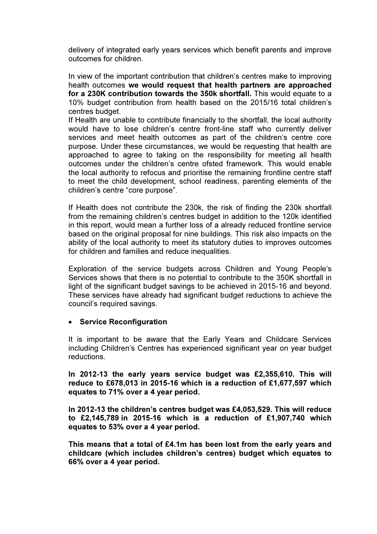delivery of integrated early years services which benefit parents and improve outcomes for children.

In view of the important contribution that children's centres make to improving health outcomes we would request that health partners are approached for a 230K contribution towards the 350k shortfall. This would equate to a 10% budget contribution from health based on the 2015/16 total children's centres budget.

If Health are unable to contribute financially to the shortfall, the local authority would have to lose children's centre front-line staff who currently deliver services and meet health outcomes as part of the children's centre core purpose. Under these circumstances, we would be requesting that health are approached to agree to taking on the responsibility for meeting all health outcomes under the children's centre ofsted framework. This would enable the local authority to refocus and prioritise the remaining frontline centre staff to meet the child development, school readiness, parenting elements of the children's centre "core purpose".

If Health does not contribute the 230k, the risk of finding the 230k shortfall from the remaining children's centres budget in addition to the 120k identified in this report, would mean a further loss of a already reduced frontline service based on the original proposal for nine buildings. This risk also impacts on the ability of the local authority to meet its statutory duties to improves outcomes for children and families and reduce inequalities.

Exploration of the service budgets across Children and Young People's Services shows that there is no potential to contribute to the 350K shortfall in light of the significant budget savings to be achieved in 2015-16 and beyond. These services have already had significant budget reductions to achieve the council's required savings.

#### • Service Reconfiguration

It is important to be aware that the Early Years and Childcare Services including Children's Centres has experienced significant year on year budget reductions.

In 2012-13 the early years service budget was £2,355,610. This will reduce to £678,013 in 2015-16 which is a reduction of £1,677,597 which equates to 71% over a 4 year period.

In 2012-13 the children's centres budget was £4,053,529. This will reduce to £2,145,789 in 2015-16 which is a reduction of £1,907,740 which equates to 53% over a 4 year period.

This means that a total of £4.1m has been lost from the early years and childcare (which includes children's centres) budget which equates to 66% over a 4 year period.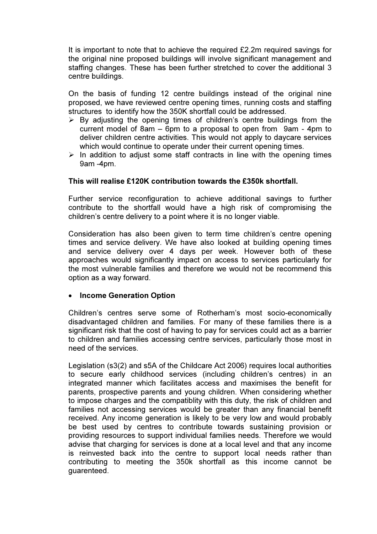It is important to note that to achieve the required £2.2m required savings for the original nine proposed buildings will involve significant management and staffing changes. These has been further stretched to cover the additional 3 centre buildings.

On the basis of funding 12 centre buildings instead of the original nine proposed, we have reviewed centre opening times, running costs and staffing structures to identify how the 350K shortfall could be addressed.

- $\triangleright$  By adjusting the opening times of children's centre buildings from the current model of 8am – 6pm to a proposal to open from 9am - 4pm to deliver children centre activities. This would not apply to daycare services which would continue to operate under their current opening times.
- $\triangleright$  In addition to adjust some staff contracts in line with the opening times 9am -4pm.

### This will realise £120K contribution towards the £350k shortfall.

Further service reconfiguration to achieve additional savings to further contribute to the shortfall would have a high risk of compromising the children's centre delivery to a point where it is no longer viable.

Consideration has also been given to term time children's centre opening times and service delivery. We have also looked at building opening times and service delivery over 4 days per week. However both of these approaches would significantly impact on access to services particularly for the most vulnerable families and therefore we would not be recommend this option as a way forward.

### • Income Generation Option

Children's centres serve some of Rotherham's most socio-economically disadvantaged children and families. For many of these families there is a significant risk that the cost of having to pay for services could act as a barrier to children and families accessing centre services, particularly those most in need of the services.

Legislation (s3(2) and s5A of the Childcare Act 2006) requires local authorities to secure early childhood services (including children's centres) in an integrated manner which facilitates access and maximises the benefit for parents, prospective parents and young children. When considering whether to impose charges and the compatiblity with this duty, the risk of children and families not accessing services would be greater than any financial benefit received. Any income generation is likely to be very low and would probably be best used by centres to contribute towards sustaining provision or providing resources to support individual families needs. Therefore we would advise that charging for services is done at a local level and that any income is reinvested back into the centre to support local needs rather than contributing to meeting the 350k shortfall as this income cannot be guarenteed.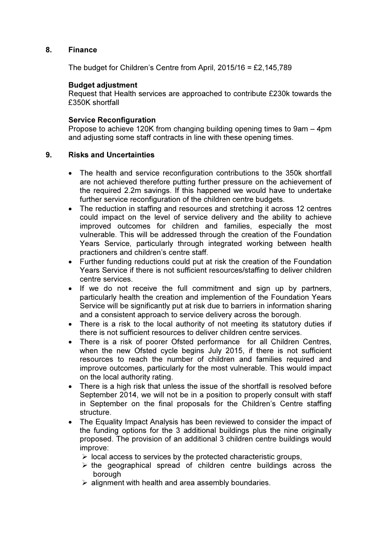### 8. Finance

The budget for Children's Centre from April, 2015/16 = £2,145,789

### Budget adjustment

Request that Health services are approached to contribute £230k towards the £350K shortfall

#### Service Reconfiguration

Propose to achieve 120K from changing building opening times to 9am – 4pm and adjusting some staff contracts in line with these opening times.

#### 9. Risks and Uncertainties

- The health and service reconfiguration contributions to the 350k shortfall are not achieved therefore putting further pressure on the achievement of the required 2.2m savings. If this happened we would have to undertake further service reconfiguration of the children centre budgets.
- The reduction in staffing and resources and stretching it across 12 centres could impact on the level of service delivery and the ability to achieve improved outcomes for children and families, especially the most vulnerable. This will be addressed through the creation of the Foundation Years Service, particularly through integrated working between health practioners and children's centre staff.
- Further funding reductions could put at risk the creation of the Foundation Years Service if there is not sufficient resources/staffing to deliver children centre services.
- If we do not receive the full commitment and sign up by partners, particularly health the creation and implemention of the Foundation Years Service will be significantly put at risk due to barriers in information sharing and a consistent approach to service delivery across the borough.
- There is a risk to the local authority of not meeting its statutory duties if there is not sufficient resources to deliver children centre services.
- There is a risk of poorer Ofsted performance for all Children Centres, when the new Ofsted cycle begins July 2015, if there is not sufficient resources to reach the number of children and families required and improve outcomes, particularly for the most vulnerable. This would impact on the local authority rating.
- There is a high risk that unless the issue of the shortfall is resolved before September 2014, we will not be in a position to properly consult with staff in September on the final proposals for the Children's Centre staffing structure.
- The Equality Impact Analysis has been reviewed to consider the impact of the funding options for the 3 additional buildings plus the nine originally proposed. The provision of an additional 3 children centre buildings would improve:
	- $\triangleright$  local access to services by the protected characteristic groups,
	- $\triangleright$  the geographical spread of children centre buildings across the borough
	- $\triangleright$  alignment with health and area assembly boundaries.